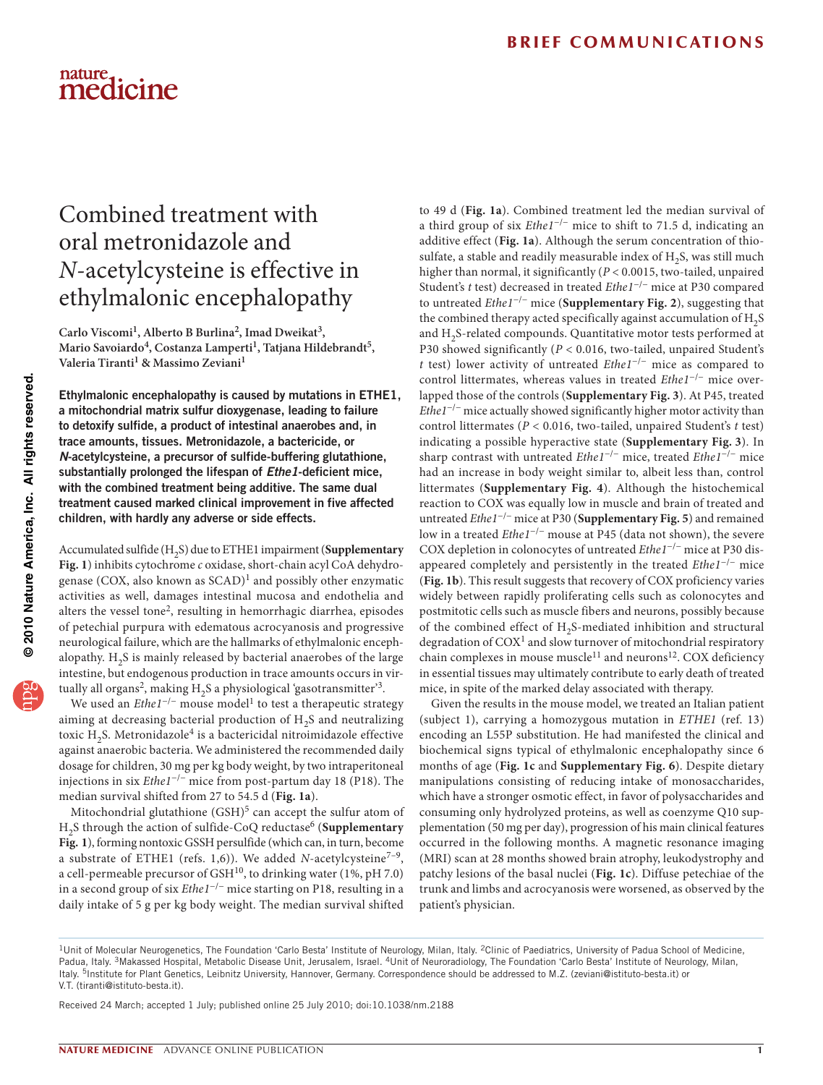# nature<br>medicine

## Combined treatment with oral metronidazole and *N*-acetylcysteine is effective in ethylmalonic encephalopathy

Carlo Viscomi<sup>1</sup>, Alberto B Burlina<sup>2</sup>, Imad Dweikat<sup>3</sup>, Mario Savoiardo<sup>4</sup>, Costanza Lamperti<sup>1</sup>, Tatjana Hildebrandt<sup>5</sup>, Valeria Tiranti<sup>1</sup> & Massimo Zeviani<sup>1</sup>

Ethylmalonic encephalopathy is caused by mutations in ETHE1, a mitochondrial matrix sulfur dioxygenase, leading to failure to detoxify sulfide, a product of intestinal anaerobes and, in trace amounts, tissues. Metronidazole, a bactericide, or *N*-acetylcysteine, a precursor of sulfide-buffering glutathione, substantially prolonged the lifespan of *Ethe1*-deficient mice, with the combined treatment being additive. The same dual treatment caused marked clinical improvement in five affected children, with hardly any adverse or side effects.

Accumulated sulfide (H2S) due to ETHE1 impairment (**Supplementary Fig. 1**) inhibits cytochrome *c* oxidase, short-chain acyl CoA dehydrogenase (COX, also known as  $SCAD$ <sup>1</sup> and possibly other enzymatic activities as well, damages intestinal mucosa and endothelia and alters the vessel tone[2](#page-2-1), resulting in hemorrhagic diarrhea, episodes of petechial purpura with edematous acrocyanosis and progressive neurological failure, which are the hallmarks of ethylmalonic encephalopathy.  $H<sub>2</sub>S$  is mainly released by bacterial anaerobes of the large intestine, but endogenous production in trace amounts occurs in vir-tually all organs<sup>[2](#page-2-1)</sup>, making  $H_2S$  a physiological 'gasotransmitter'<sup>[3](#page-2-2)</sup>.

We used an *Ethe[1](#page-2-0)<sup>-/-</sup>* mouse model<sup>1</sup> to test a therapeutic strategy aiming at decreasing bacterial production of  $H<sub>2</sub>S$  and neutralizing toxic  $H_2S$ . Metronidazole<sup>4</sup> is a bactericidal nitroimidazole effective against anaerobic bacteria. We administered the recommended daily dosage for children, 30 mg per kg body weight, by two intraperitoneal injections in six *Ethe1*−/− mice from post-partum day 18 (P18). The median survival shifted from 27 to 54.5 d (**[Fig. 1a](#page-1-0)**).

Mitochondrial glutathione  $(GSH)^5$  can accept the sulfur atom of H<sub>2</sub>S through the action of sulfide-CoQ reductase<sup>[6](#page-2-5)</sup> (Supplementary **Fig. 1**), forming nontoxic GSSH persulfide (which can, in turn, become a substrate of ETHE1 (refs. 1,6)). We added *N*-acetylcysteine<sup>7-9</sup>, a cell-permeable precursor of  $\text{GSH}^{10}$ , to drinking water (1%, pH 7.0) in a second group of six *Ethe1*−/− mice starting on P18, resulting in a daily intake of 5 g per kg body weight. The median survival shifted

to 49 d (**[Fig. 1a](#page-1-0)**). Combined treatment led the median survival of a third group of six *Ethe1*−/− mice to shift to 71.5 d, indicating an additive effect (**[Fig. 1a](#page-1-0)**). Although the serum concentration of thiosulfate, a stable and readily measurable index of  $H_2S$ , was still much higher than normal, it significantly (*P* < 0.0015, two-tailed, unpaired Student's *t* test) decreased in treated *Ethe1*−/− mice at P30 compared to untreated *Ethe1*−/− mice (**Supplementary Fig. 2**), suggesting that the combined therapy acted specifically against accumulation of  $H$ <sub>2</sub>S and H<sub>2</sub>S-related compounds. Quantitative motor tests performed at P30 showed significantly (*P* < 0.016, two-tailed, unpaired Student's *t* test) lower activity of untreated *Ethe1*−/− mice as compared to control littermates, whereas values in treated *Ethe1*−/− mice overlapped those of the controls (**Supplementary Fig. 3**). At P45, treated *Ethe1<sup>-/-</sup>* mice actually showed significantly higher motor activity than control littermates (*P* < 0.016, two-tailed, unpaired Student's *t* test) indicating a possible hyperactive state (**Supplementary Fig. 3**). In sharp contrast with untreated *Ethe1*−/− mice, treated *Ethe1*−/− mice had an increase in body weight similar to, albeit less than, control littermates (**Supplementary Fig. 4**). Although the histochemical reaction to COX was equally low in muscle and brain of treated and untreated *Ethe1*−/− mice at P30 (**Supplementary Fig. 5**) and remained low in a treated *Ethe1*−/− mouse at P45 (data not shown), the severe COX depletion in colonocytes of untreated *Ethe1*−/− mice at P30 disappeared completely and persistently in the treated *Ethe1*−/− mice (**[Fig. 1b](#page-1-0)**). This result suggests that recovery of COX proficiency varies widely between rapidly proliferating cells such as colonocytes and postmitotic cells such as muscle fibers and neurons, possibly because of the combined effect of H<sub>2</sub>S-mediated inhibition and structural degradation of  $COX<sup>1</sup>$  $COX<sup>1</sup>$  $COX<sup>1</sup>$  and slow turnover of mitochondrial respiratory chain complexes in mouse muscle<sup>[11](#page-2-7)</sup> and neurons<sup>12</sup>. COX deficiency in essential tissues may ultimately contribute to early death of treated mice, in spite of the marked delay associated with therapy.

Given the results in the mouse model, we treated an Italian patient (subject 1), carrying a homozygous mutation in *ETHE1* (ref. 13) encoding an L55P substitution. He had manifested the clinical and biochemical signs typical of ethylmalonic encephalopathy since 6 months of age (**[Fig. 1c](#page-1-0)** and **Supplementary Fig. 6**). Despite dietary manipulations consisting of reducing intake of monosaccharides, which have a stronger osmotic effect, in favor of polysaccharides and consuming only hydrolyzed proteins, as well as coenzyme Q10 supplementation (50 mg per day), progression of his main clinical features occurred in the following months. A magnetic resonance imaging (MRI) scan at 28 months showed brain atrophy, leukodystrophy and patchy lesions of the basal nuclei (**[Fig. 1c](#page-1-0)**). Diffuse petechiae of the trunk and limbs and acrocyanosis were worsened, as observed by the patient's physician.

Received 24 March; accepted 1 July; published online 25 July 2010; [doi:10.1038/nm.2188](http://www.nature.com/doifinder/10.1038/nm.2188)

<sup>&</sup>lt;sup>1</sup>Unit of Molecular Neurogenetics, The Foundation 'Carlo Besta' Institute of Neurology, Milan, Italy. <sup>2</sup>Clinic of Paediatrics, University of Padua School of Medicine, Padua, Italy. <sup>3</sup>Makassed Hospital, Metabolic Disease Unit, Jerusalem, Israel. <sup>4</sup>Unit of Neuroradiology, The Foundation 'Carlo Besta' Institute of Neurology, Milan, Italy. 5Institute for Plant Genetics, Leibnitz University, Hannover, Germany. Correspondence should be addressed to M.Z. (zeviani@istituto-besta.it) or V.T. (tiranti@istituto-besta.it).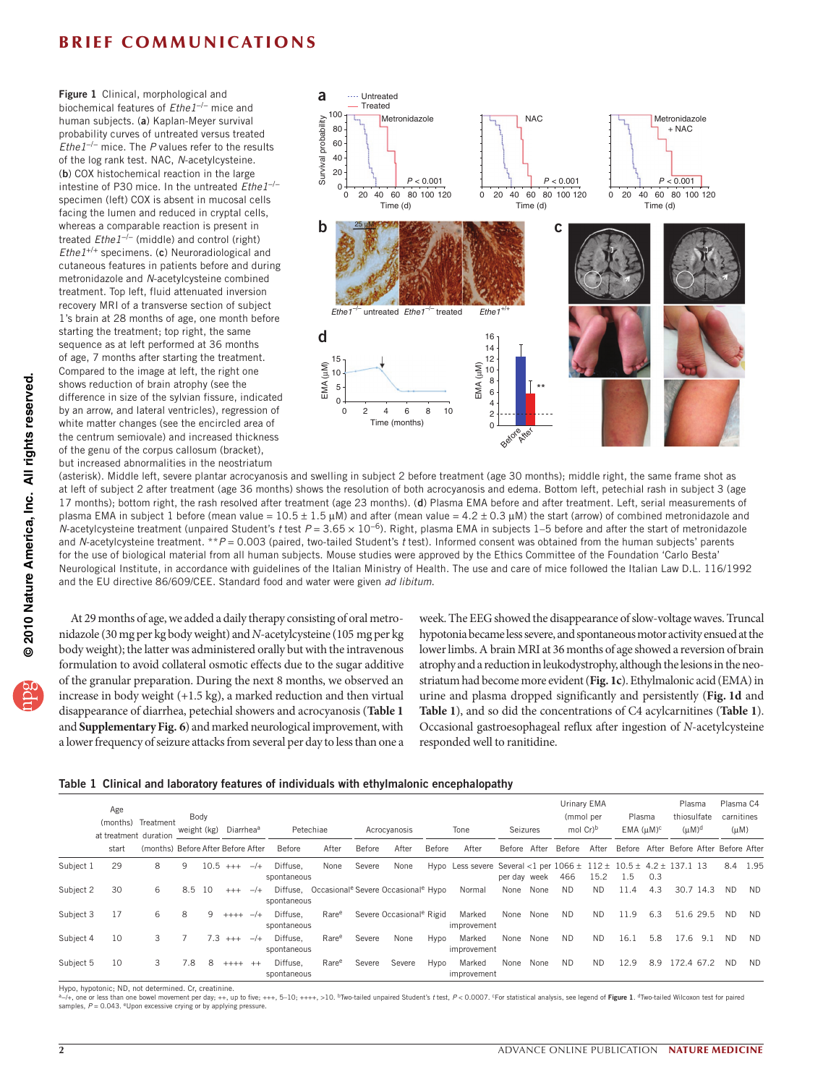### **BRIEF COMMUNICATIONS**

<span id="page-1-0"></span>Figure 1 Clinical, morphological and biochemical features of *Ethe1*−/− mice and human subjects. (a) Kaplan-Meyer survival probability curves of untreated versus treated *Ethe1*−/− mice. The *P* values refer to the results of the log rank test. NAC, *N*-acetylcysteine. (b) COX histochemical reaction in the large intestine of P30 mice. In the untreated *Ethe1*−/− specimen (left) COX is absent in mucosal cells facing the lumen and reduced in cryptal cells, whereas a comparable reaction is present in treated *Ethe1*−/− (middle) and control (right) *Ethe1*+/+ specimens. (c) Neuroradiological and cutaneous features in patients before and during metronidazole and *N*-acetylcysteine combined treatment. Top left, fluid attenuated inversion recovery MRI of a transverse section of subject 1's brain at 28 months of age, one month before starting the treatment; top right, the same sequence as at left performed at 36 months of age, 7 months after starting the treatment. Compared to the image at left, the right one shows reduction of brain atrophy (see the difference in size of the sylvian fissure, indicated by an arrow, and lateral ventricles), regression of white matter changes (see the encircled area of the centrum semiovale) and increased thickness of the genu of the corpus callosum (bracket), but increased abnormalities in the neostriatum



(asterisk). Middle left, severe plantar acrocyanosis and swelling in subject 2 before treatment (age 30 months); middle right, the same frame shot as at left of subject 2 after treatment (age 36 months) shows the resolution of both acrocyanosis and edema. Bottom left, petechial rash in subject 3 (age 17 months); bottom right, the rash resolved after treatment (age 23 months). (d) Plasma EMA before and after treatment. Left, serial measurements of plasma EMA in subject 1 before (mean value =  $10.5 \pm 1.5 \,\mu$ M) and after (mean value =  $4.2 \pm 0.3 \,\mu$ M) the start (arrow) of combined metronidazole and *N*-acetylcysteine treatment (unpaired Student's *t* test *P* = 3.65 × 10−6). Right, plasma EMA in subjects 1–5 before and after the start of metronidazole and *N*-acetylcysteine treatment. \*\**P* = 0.003 (paired, two-tailed Student's *t* test). Informed consent was obtained from the human subjects' parents for the use of biological material from all human subjects. Mouse studies were approved by the Ethics Committee of the Foundation 'Carlo Besta' Neurological Institute, in accordance with guidelines of the Italian Ministry of Health. The use and care of mice followed the Italian Law D.L. 116/1992 and the EU directive 86/609/CEE. Standard food and water were given *ad libitum*.

At 29 months of age, we added a daily therapy consisting of oral metronidazole (30 mg per kg body weight) and *N*-acetylcysteine (105 mg per kg body weight); the latter was administered orally but with the intravenous formulation to avoid collateral osmotic effects due to the sugar additive of the granular preparation. During the next 8 months, we observed an increase in body weight (+1.5 kg), a marked reduction and then virtual disappearance of diarrhea, petechial showers and acrocyanosis (**[Table 1](#page-1-1)** and **Supplementary Fig. 6**) and marked neurological improvement, with a lower frequency of seizure attacks from several per day to less than one a

week. The EEG showed the disappearance of slow-voltage waves. Truncal hypotonia became less severe, and spontaneous motor activity ensued at the lower limbs. A brain MRI at 36 months of age showed a reversion of brain atrophy and a reduction in leukodystrophy, although the lesions in the neostriatum had become more evident (**[Fig. 1c](#page-1-0)**). Ethylmalonic acid (EMA) in urine and plasma dropped significantly and persistently (**[Fig.](#page-1-0) 1d** and **[Table 1](#page-1-1)**), and so did the concentrations of C4 acylcarnitines (**[Table 1](#page-1-1)**). Occasional gastroesophageal reflux after ingestion of *N*-acetylcysteine responded well to ranitidine.

#### <span id="page-1-1"></span>Table 1 Clinical and laboratory features of individuals with ethylmalonic encephalopathy

|           | Age<br>(months)<br>at treatment duration | Treatment                          | Body<br>weight (kg) |        | Diarrhea <sup>a</sup> |       | Petechiae               |                   | Acrocyanosis |                                                                      | Tone   |                                                                              | Seizures     |      | Urinary EMA<br>(mmol per<br>mol Cr <sup>b</sup> |           | Plasma<br>$EMA$ ( $\mu$ M) <sup>c</sup> |     | Plasma<br>thiosulfate<br>$(uM)^d$      |           | Plasma C4<br>carnitines<br>$(\mu M)$ |           |
|-----------|------------------------------------------|------------------------------------|---------------------|--------|-----------------------|-------|-------------------------|-------------------|--------------|----------------------------------------------------------------------|--------|------------------------------------------------------------------------------|--------------|------|-------------------------------------------------|-----------|-----------------------------------------|-----|----------------------------------------|-----------|--------------------------------------|-----------|
|           | start                                    | (months) Before After Before After |                     |        |                       |       | Before                  | After             | Before       | After                                                                | Before | After                                                                        | Before After |      | Before                                          | After     |                                         |     | Before After Before After Before After |           |                                      |           |
| Subject 1 | 29                                       | 8                                  | 9                   | 10.5   | $^{+++}$              | $-/+$ | Diffuse.<br>spontaneous | None              | Severe       | None                                                                 |        | Hypo Less severe Several <1 per $1066 \pm 112 \pm 10.5 \pm 4.2 \pm 137.1$ 13 | per day week |      | 466                                             | 15.2      | 1.5                                     | 0.3 |                                        |           |                                      | 8.4 1.95  |
| Subject 2 | 30                                       | 6                                  |                     | 8.5 10 | $^{+++}$              | $-/+$ | spontaneous             |                   |              | Diffuse, Occasional <sup>e</sup> Severe Occasional <sup>e</sup> Hypo |        | Normal                                                                       | None         | None | <b>ND</b>                                       | <b>ND</b> | 11.4                                    | 4.3 |                                        | 30.7 14.3 | <b>ND</b>                            | <b>ND</b> |
| Subject 3 | 17                                       | 6                                  | 8                   | 9      | $++++$                | $-/+$ | Diffuse.<br>spontaneous | Rare <sup>e</sup> |              | Severe Occasional <sup>e</sup> Rigid                                 |        | Marked<br>improvement                                                        | None         | None | <b>ND</b>                                       | <b>ND</b> | 11.9                                    | 6.3 |                                        | 51.6 29.5 | <b>ND</b>                            | <b>ND</b> |
| Subject 4 | 10                                       | 3                                  |                     | 7.3    | $+++$                 | $-/+$ | Diffuse.<br>spontaneous | Rare <sup>e</sup> | Severe       | None                                                                 | Hypo   | Marked<br>improvement                                                        | None         | None | <b>ND</b>                                       | <b>ND</b> | 16.1                                    | 5.8 | 17.6                                   | 9.1       | <b>ND</b>                            | <b>ND</b> |
| Subject 5 | 10                                       | 3                                  | 7.8                 | 8      | $++++$                | $++$  | Diffuse.<br>spontaneous | Rare <sup>e</sup> | Severe       | Severe                                                               | Hypo   | Marked<br>improvement                                                        | None         | None | <b>ND</b>                                       | <b>ND</b> | 12.9                                    | 8.9 | 172.4 67.2                             |           | <b>ND</b>                            | <b>ND</b> |

Hypo, hypotonic; ND, not determined. Cr, creatinine.

ª–/+, one or less than one bowel movement per day; ++, up to five; +++, 5–10; ++++, >10. <sup>b</sup>Two-tailed unpaired Student's *t* test, P< 0.0007. °For statistical analysis, see legend of **Figure 1**. <sup>d</sup>Two-tailed Wilcoxon te